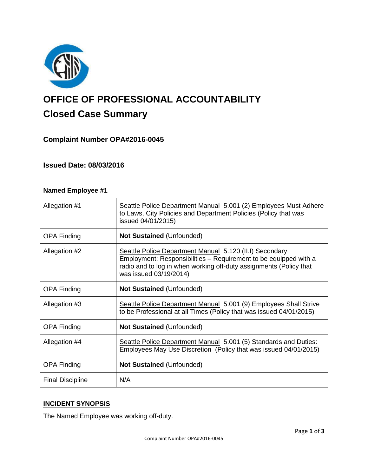

# **OFFICE OF PROFESSIONAL ACCOUNTABILITY Closed Case Summary**

# **Complaint Number OPA#2016-0045**

# **Issued Date: 08/03/2016**

| <b>Named Employee #1</b> |                                                                                                                                                                                                                             |
|--------------------------|-----------------------------------------------------------------------------------------------------------------------------------------------------------------------------------------------------------------------------|
| Allegation #1            | Seattle Police Department Manual 5.001 (2) Employees Must Adhere<br>to Laws, City Policies and Department Policies (Policy that was<br>issued 04/01/2015)                                                                   |
| <b>OPA Finding</b>       | <b>Not Sustained (Unfounded)</b>                                                                                                                                                                                            |
| Allegation #2            | Seattle Police Department Manual 5.120 (II.I) Secondary<br>Employment: Responsibilities – Requirement to be equipped with a<br>radio and to log in when working off-duty assignments (Policy that<br>was issued 03/19/2014) |
| <b>OPA Finding</b>       | <b>Not Sustained (Unfounded)</b>                                                                                                                                                                                            |
| Allegation #3            | Seattle Police Department Manual 5.001 (9) Employees Shall Strive<br>to be Professional at all Times (Policy that was issued 04/01/2015)                                                                                    |
| <b>OPA Finding</b>       | <b>Not Sustained (Unfounded)</b>                                                                                                                                                                                            |
| Allegation #4            | Seattle Police Department Manual 5.001 (5) Standards and Duties:<br>Employees May Use Discretion (Policy that was issued 04/01/2015)                                                                                        |
| <b>OPA Finding</b>       | <b>Not Sustained (Unfounded)</b>                                                                                                                                                                                            |
| <b>Final Discipline</b>  | N/A                                                                                                                                                                                                                         |

# **INCIDENT SYNOPSIS**

The Named Employee was working off-duty.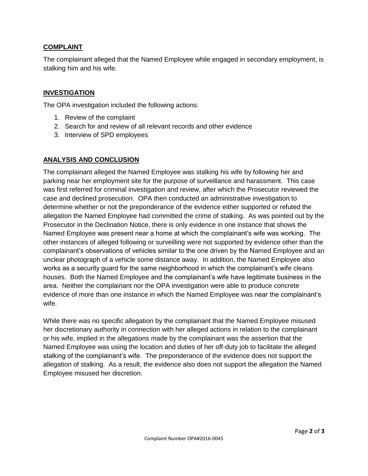## **COMPLAINT**

The complainant alleged that the Named Employee while engaged in secondary employment, is stalking him and his wife.

## **INVESTIGATION**

The OPA investigation included the following actions:

- 1. Review of the complaint
- 2. Search for and review of all relevant records and other evidence
- 3. Interview of SPD employees

### **ANALYSIS AND CONCLUSION**

The complainant alleged the Named Employee was stalking his wife by following her and parking near her employment site for the purpose of surveillance and harassment. This case was first referred for criminal investigation and review, after which the Prosecutor reviewed the case and declined prosecution. OPA then conducted an administrative investigation to determine whether or not the preponderance of the evidence either supported or refuted the allegation the Named Employee had committed the crime of stalking. As was pointed out by the Prosecutor in the Declination Notice, there is only evidence in one instance that shows the Named Employee was present near a home at which the complainant's wife was working. The other instances of alleged following or surveilling were not supported by evidence other than the complainant's observations of vehicles similar to the one driven by the Named Employee and an unclear photograph of a vehicle some distance away. In addition, the Named Employee also works as a security guard for the same neighborhood in which the complainant's wife cleans houses. Both the Named Employee and the complainant's wife have legitimate business in the area. Neither the complainant nor the OPA investigation were able to produce concrete evidence of more than one instance in which the Named Employee was near the complainant's wife.

While there was no specific allegation by the complainant that the Named Employee misused her discretionary authority in connection with her alleged actions in relation to the complainant or his wife, implied in the allegations made by the complainant was the assertion that the Named Employee was using the location and duties of her off-duty job to facilitate the alleged stalking of the complainant's wife. The preponderance of the evidence does not support the allegation of stalking. As a result, the evidence also does not support the allegation the Named Employee misused her discretion.